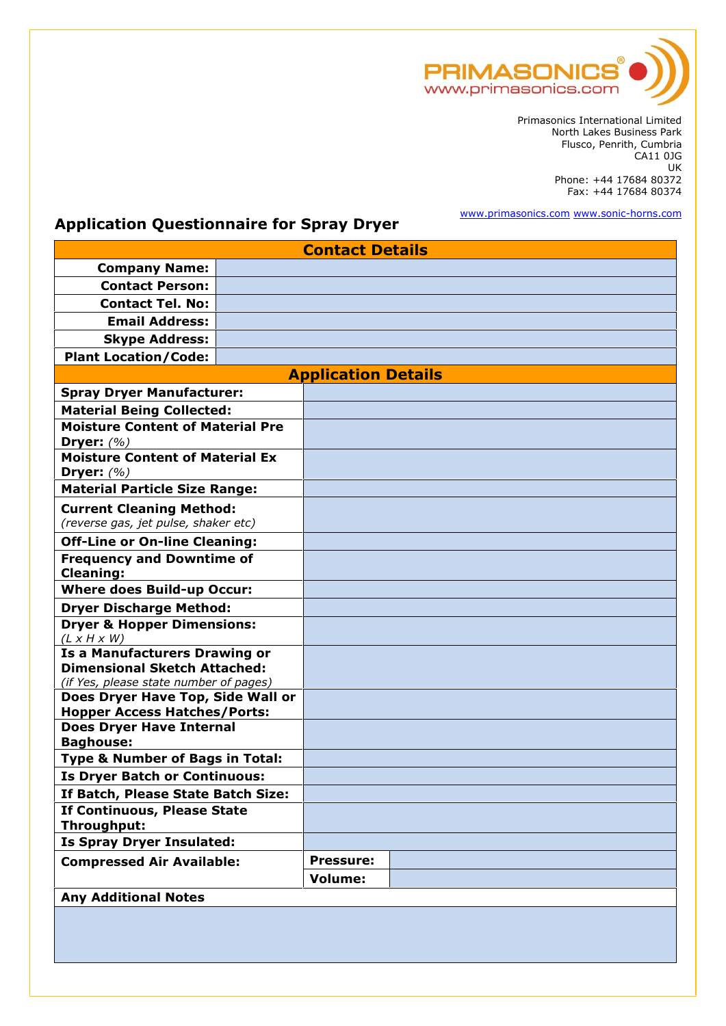

Primasonics International Limited North Lakes Business Park Flusco, Penrith, Cumbria  $CA11$   $0$ J $G$   $\vert$ UK Phone: +44 17684 80372 Fax: +44 17684 80374

www.primasonics.com www.sonic-horns.com

## **Application Questionnaire for Spray Dryer**

| <b>Contact Details</b>                                                 |                            |                  |  |  |  |
|------------------------------------------------------------------------|----------------------------|------------------|--|--|--|
| <b>Company Name:</b>                                                   |                            |                  |  |  |  |
| <b>Contact Person:</b>                                                 |                            |                  |  |  |  |
| <b>Contact Tel. No:</b>                                                |                            |                  |  |  |  |
| <b>Email Address:</b>                                                  |                            |                  |  |  |  |
| <b>Skype Address:</b>                                                  |                            |                  |  |  |  |
| <b>Plant Location/Code:</b>                                            |                            |                  |  |  |  |
|                                                                        | <b>Application Details</b> |                  |  |  |  |
| <b>Spray Dryer Manufacturer:</b>                                       |                            |                  |  |  |  |
| <b>Material Being Collected:</b>                                       |                            |                  |  |  |  |
| <b>Moisture Content of Material Pre</b>                                |                            |                  |  |  |  |
| Dryer: $(%)$                                                           |                            |                  |  |  |  |
| <b>Moisture Content of Material Ex</b>                                 |                            |                  |  |  |  |
| Dryer: $(%)$                                                           |                            |                  |  |  |  |
| <b>Material Particle Size Range:</b>                                   |                            |                  |  |  |  |
| <b>Current Cleaning Method:</b>                                        |                            |                  |  |  |  |
| (reverse gas, jet pulse, shaker etc)                                   |                            |                  |  |  |  |
| <b>Off-Line or On-line Cleaning:</b>                                   |                            |                  |  |  |  |
| <b>Frequency and Downtime of</b>                                       |                            |                  |  |  |  |
| <b>Cleaning:</b>                                                       |                            |                  |  |  |  |
| <b>Where does Build-up Occur:</b>                                      |                            |                  |  |  |  |
| <b>Dryer Discharge Method:</b>                                         |                            |                  |  |  |  |
| <b>Dryer &amp; Hopper Dimensions:</b><br>$(L \times H \times W)$       |                            |                  |  |  |  |
| <b>Is a Manufacturers Drawing or</b>                                   |                            |                  |  |  |  |
| <b>Dimensional Sketch Attached:</b>                                    |                            |                  |  |  |  |
| (if Yes, please state number of pages)                                 |                            |                  |  |  |  |
| Does Dryer Have Top, Side Wall or                                      |                            |                  |  |  |  |
| <b>Hopper Access Hatches/Ports:</b><br><b>Does Dryer Have Internal</b> |                            |                  |  |  |  |
| <b>Baghouse:</b>                                                       |                            |                  |  |  |  |
| <b>Type &amp; Number of Bags in Total:</b>                             |                            |                  |  |  |  |
| <b>Is Dryer Batch or Continuous:</b>                                   |                            |                  |  |  |  |
| If Batch, Please State Batch Size:                                     |                            |                  |  |  |  |
| If Continuous, Please State                                            |                            |                  |  |  |  |
| Throughput:                                                            |                            |                  |  |  |  |
| <b>Is Spray Dryer Insulated:</b>                                       |                            |                  |  |  |  |
| <b>Compressed Air Available:</b>                                       |                            | <b>Pressure:</b> |  |  |  |
|                                                                        |                            | Volume:          |  |  |  |
| <b>Any Additional Notes</b>                                            |                            |                  |  |  |  |
|                                                                        |                            |                  |  |  |  |
|                                                                        |                            |                  |  |  |  |
|                                                                        |                            |                  |  |  |  |
|                                                                        |                            |                  |  |  |  |